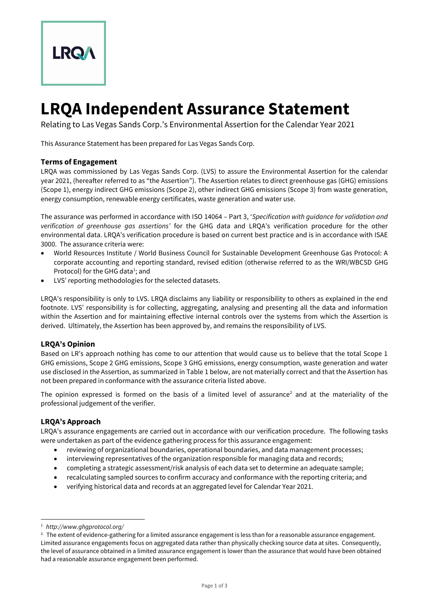

# **LRQA Independent Assurance Statement**

Relating to Las Vegas Sands Corp.'s Environmental Assertion for the Calendar Year 2021

This Assurance Statement has been prepared for Las Vegas Sands Corp.

# **Terms of Engagement**

LRQA was commissioned by Las Vegas Sands Corp. (LVS) to assure the Environmental Assertion for the calendar year 2021, (hereafter referred to as "the Assertion"). The Assertion relates to direct greenhouse gas (GHG) emissions (Scope 1), energy indirect GHG emissions (Scope 2), other indirect GHG emissions (Scope 3) from waste generation, energy consumption, renewable energy certificates, waste generation and water use.

The assurance was performed in accordance with ISO 14064 – Part 3, '*Specification with guidance for validation and verification of greenhouse gas assertions'* for the GHG data and LRQA's verification procedure for the other environmental data. LRQA's verification procedure is based on current best practice and is in accordance with ISAE 3000. The assurance criteria were:

- World Resources Institute / World Business Council for Sustainable Development Greenhouse Gas Protocol: A corporate accounting and reporting standard, revised edition (otherwise referred to as the WRI/WBCSD GHG Protocol) for the GHG data<sup>1</sup>; and
- LVS' reporting methodologies for the selected datasets.

LRQA's responsibility is only to LVS. LRQA disclaims any liability or responsibility to others as explained in the end footnote. LVS' responsibility is for collecting, aggregating, analysing and presenting all the data and information within the Assertion and for maintaining effective internal controls over the systems from which the Assertion is derived. Ultimately, the Assertion has been approved by, and remains the responsibility of LVS.

### **LRQA's Opinion**

Based on LR's approach nothing has come to our attention that would cause us to believe that the total Scope 1 GHG emissions, Scope 2 GHG emissions, Scope 3 GHG emissions, energy consumption, waste generation and water use disclosed in the Assertion, as summarized in Table 1 below, are not materially correct and that the Assertion has not been prepared in conformance with the assurance criteria listed above.

The opinion expressed is formed on the basis of a limited level of assurance<sup>2</sup> and at the materiality of the professional judgement of the verifier.

### **LRQA's Approach**

LRQA's assurance engagements are carried out in accordance with our verification procedure. The following tasks were undertaken as part of the evidence gathering process for this assurance engagement:

- reviewing of organizational boundaries, operational boundaries, and data management processes;
- interviewing representatives of the organization responsible for managing data and records;
- completing a strategic assessment/risk analysis of each data set to determine an adequate sample;
- recalculating sampled sources to confirm accuracy and conformance with the reporting criteria; and
- verifying historical data and records at an aggregated level for Calendar Year 2021.

*<sup>1.</sup> http://www.ghgprotocol.org/*

<sup>&</sup>lt;sup>2.</sup> The extent of evidence-gathering for a limited assurance engagement is less than for a reasonable assurance engagement. Limited assurance engagements focus on aggregated data rather than physically checking source data at sites. Consequently, the level of assurance obtained in a limited assurance engagement is lower than the assurance that would have been obtained had a reasonable assurance engagement been performed.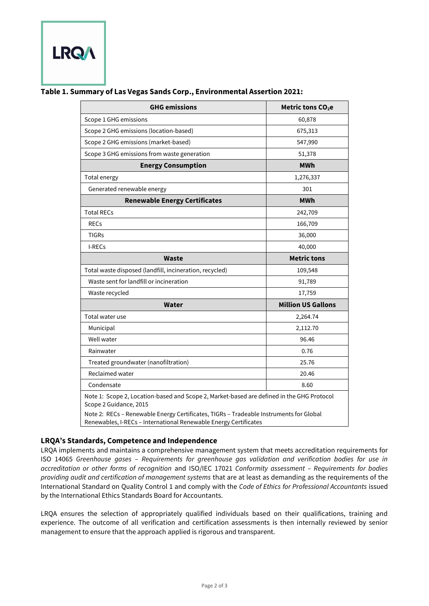

# **Table 1. Summary of Las Vegas Sands Corp., Environmental Assertion 2021:**

| <b>GHG emissions</b>                                                                                                                                                                                                                                                              | Metric tons CO <sub>2</sub> e |
|-----------------------------------------------------------------------------------------------------------------------------------------------------------------------------------------------------------------------------------------------------------------------------------|-------------------------------|
| Scope 1 GHG emissions                                                                                                                                                                                                                                                             | 60,878                        |
| Scope 2 GHG emissions (location-based)                                                                                                                                                                                                                                            | 675,313                       |
| Scope 2 GHG emissions (market-based)                                                                                                                                                                                                                                              | 547,990                       |
| Scope 3 GHG emissions from waste generation                                                                                                                                                                                                                                       | 51,378                        |
| <b>Energy Consumption</b>                                                                                                                                                                                                                                                         | MWh                           |
| Total energy                                                                                                                                                                                                                                                                      | 1,276,337                     |
| Generated renewable energy                                                                                                                                                                                                                                                        | 301                           |
| <b>Renewable Energy Certificates</b>                                                                                                                                                                                                                                              | MWh                           |
| <b>Total RECs</b>                                                                                                                                                                                                                                                                 | 242,709                       |
| <b>RECs</b>                                                                                                                                                                                                                                                                       | 166,709                       |
| <b>TIGRS</b>                                                                                                                                                                                                                                                                      | 36,000                        |
| I-RECs                                                                                                                                                                                                                                                                            | 40,000                        |
| <b>Waste</b>                                                                                                                                                                                                                                                                      | <b>Metric tons</b>            |
| Total waste disposed (landfill, incineration, recycled)                                                                                                                                                                                                                           | 109,548                       |
| Waste sent for landfill or incineration                                                                                                                                                                                                                                           | 91,789                        |
| Waste recycled                                                                                                                                                                                                                                                                    | 17,759                        |
| Water                                                                                                                                                                                                                                                                             | <b>Million US Gallons</b>     |
| Total water use                                                                                                                                                                                                                                                                   | 2,264.74                      |
| Municipal                                                                                                                                                                                                                                                                         | 2,112.70                      |
| Well water                                                                                                                                                                                                                                                                        | 96.46                         |
| Rainwater                                                                                                                                                                                                                                                                         | 0.76                          |
| Treated groundwater (nanofiltration)                                                                                                                                                                                                                                              | 25.76                         |
| Reclaimed water                                                                                                                                                                                                                                                                   | 20.46                         |
| Condensate                                                                                                                                                                                                                                                                        | 8.60                          |
| Note 1: Scope 2, Location-based and Scope 2, Market-based are defined in the GHG Protocol<br>Scope 2 Guidance, 2015<br>Note 2: RECs - Renewable Energy Certificates, TIGRs - Tradeable Instruments for Global<br>Renewables, I-RECs - International Renewable Energy Certificates |                               |

### **LRQA's Standards, Competence and Independence**

LRQA implements and maintains a comprehensive management system that meets accreditation requirements for ISO 14065 *Greenhouse gases – Requirements for greenhouse gas validation and verification bodies for use in accreditation or other forms of recognition* and ISO/IEC 17021 *Conformity assessment – Requirements for bodies providing audit and certification of management systems* that are at least as demanding as the requirements of the International Standard on Quality Control 1 and comply with the *Code of Ethics for Professional Accountants* issued by the International Ethics Standards Board for Accountants.

LRQA ensures the selection of appropriately qualified individuals based on their qualifications, training and experience. The outcome of all verification and certification assessments is then internally reviewed by senior management to ensure that the approach applied is rigorous and transparent.